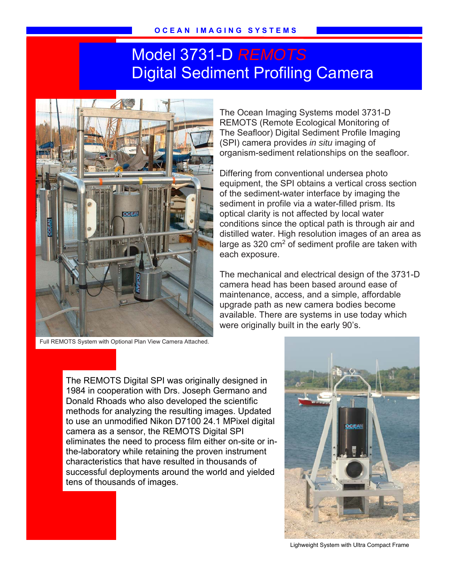## Model 3731-D *REMOTS* Digital Sediment Profiling Camera



Full REMOTS System with Optional Plan View Camera Attached.

The Ocean Imaging Systems model 3731-D REMOTS (Remote Ecological Monitoring of The Seafloor) Digital Sediment Profile Imaging (SPI) camera provides *in situ* imaging of organism-sediment relationships on the seafloor.

Differing from conventional undersea photo equipment, the SPI obtains a vertical cross section of the sediment-water interface by imaging the sediment in profile via a water-filled prism. Its optical clarity is not affected by local water conditions since the optical path is through air and distilled water. High resolution images of an area as large as 320  $\text{cm}^2$  of sediment profile are taken with each exposure.

The mechanical and electrical design of the 3731-D camera head has been based around ease of maintenance, access, and a simple, affordable upgrade path as new camera bodies become available. There are systems in use today which were originally built in the early 90's.

The REMOTS Digital SPI was originally designed in 1984 in cooperation with Drs. Joseph Germano and Donald Rhoads who also developed the scientific methods for analyzing the resulting images. Updated to use an unmodified Nikon D7100 24.1 MPixel digital camera as a sensor, the REMOTS Digital SPI eliminates the need to process film either on-site or inthe-laboratory while retaining the proven instrument characteristics that have resulted in thousands of successful deployments around the world and yielded tens of thousands of images.



Lighweight System with Ultra Compact Frame